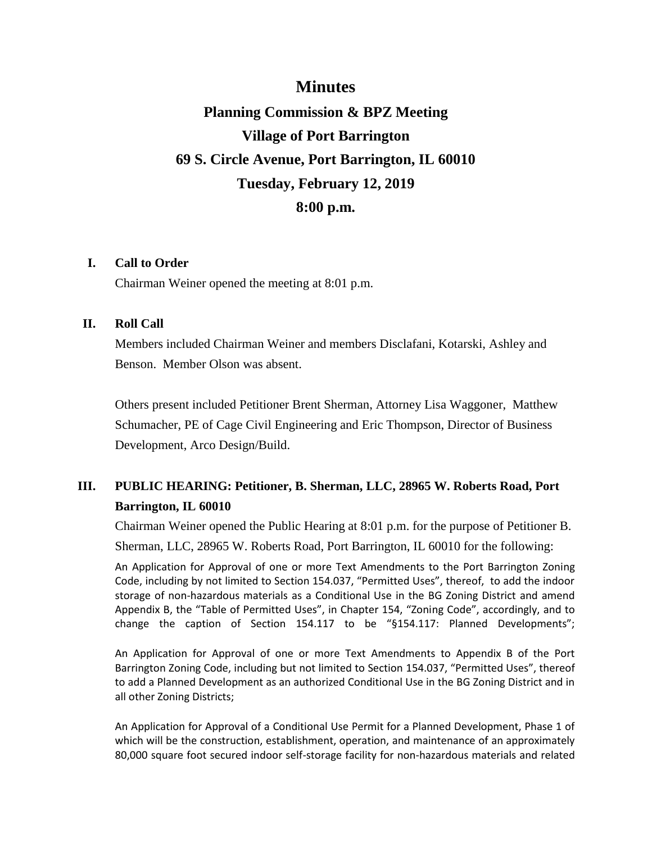# **Minutes**

# **Planning Commission & BPZ Meeting Village of Port Barrington 69 S. Circle Avenue, Port Barrington, IL 60010 Tuesday, February 12, 2019 8:00 p.m.**

### **I. Call to Order**

Chairman Weiner opened the meeting at 8:01 p.m.

## **II. Roll Call**

Members included Chairman Weiner and members Disclafani, Kotarski, Ashley and Benson. Member Olson was absent.

Others present included Petitioner Brent Sherman, Attorney Lisa Waggoner, Matthew Schumacher, PE of Cage Civil Engineering and Eric Thompson, Director of Business Development, Arco Design/Build.

# **III. PUBLIC HEARING: Petitioner, B. Sherman, LLC, 28965 W. Roberts Road, Port Barrington, IL 60010**

Chairman Weiner opened the Public Hearing at 8:01 p.m. for the purpose of Petitioner B. Sherman, LLC, 28965 W. Roberts Road, Port Barrington, IL 60010 for the following:

An Application for Approval of one or more Text Amendments to the Port Barrington Zoning Code, including by not limited to Section 154.037, "Permitted Uses", thereof, to add the indoor storage of non-hazardous materials as a Conditional Use in the BG Zoning District and amend Appendix B, the "Table of Permitted Uses", in Chapter 154, "Zoning Code", accordingly, and to change the caption of Section 154.117 to be "§154.117: Planned Developments";

An Application for Approval of one or more Text Amendments to Appendix B of the Port Barrington Zoning Code, including but not limited to Section 154.037, "Permitted Uses", thereof to add a Planned Development as an authorized Conditional Use in the BG Zoning District and in all other Zoning Districts;

An Application for Approval of a Conditional Use Permit for a Planned Development, Phase 1 of which will be the construction, establishment, operation, and maintenance of an approximately 80,000 square foot secured indoor self-storage facility for non-hazardous materials and related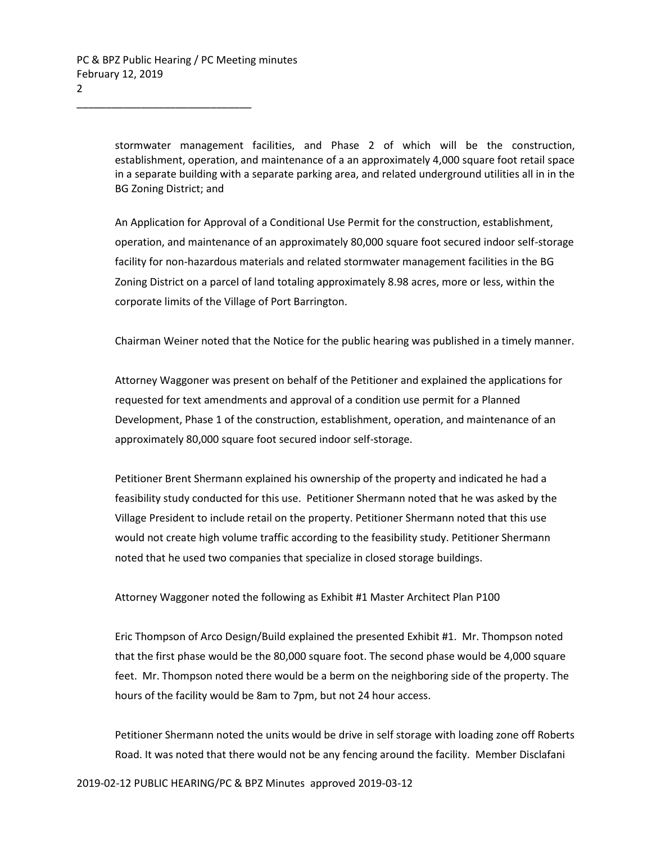stormwater management facilities, and Phase 2 of which will be the construction, establishment, operation, and maintenance of a an approximately 4,000 square foot retail space in a separate building with a separate parking area, and related underground utilities all in in the BG Zoning District; and

An Application for Approval of a Conditional Use Permit for the construction, establishment, operation, and maintenance of an approximately 80,000 square foot secured indoor self-storage facility for non-hazardous materials and related stormwater management facilities in the BG Zoning District on a parcel of land totaling approximately 8.98 acres, more or less, within the corporate limits of the Village of Port Barrington.

Chairman Weiner noted that the Notice for the public hearing was published in a timely manner.

Attorney Waggoner was present on behalf of the Petitioner and explained the applications for requested for text amendments and approval of a condition use permit for a Planned Development, Phase 1 of the construction, establishment, operation, and maintenance of an approximately 80,000 square foot secured indoor self-storage.

Petitioner Brent Shermann explained his ownership of the property and indicated he had a feasibility study conducted for this use. Petitioner Shermann noted that he was asked by the Village President to include retail on the property. Petitioner Shermann noted that this use would not create high volume traffic according to the feasibility study. Petitioner Shermann noted that he used two companies that specialize in closed storage buildings.

Attorney Waggoner noted the following as Exhibit #1 Master Architect Plan P100

Eric Thompson of Arco Design/Build explained the presented Exhibit #1. Mr. Thompson noted that the first phase would be the 80,000 square foot. The second phase would be 4,000 square feet. Mr. Thompson noted there would be a berm on the neighboring side of the property. The hours of the facility would be 8am to 7pm, but not 24 hour access.

Petitioner Shermann noted the units would be drive in self storage with loading zone off Roberts Road. It was noted that there would not be any fencing around the facility. Member Disclafani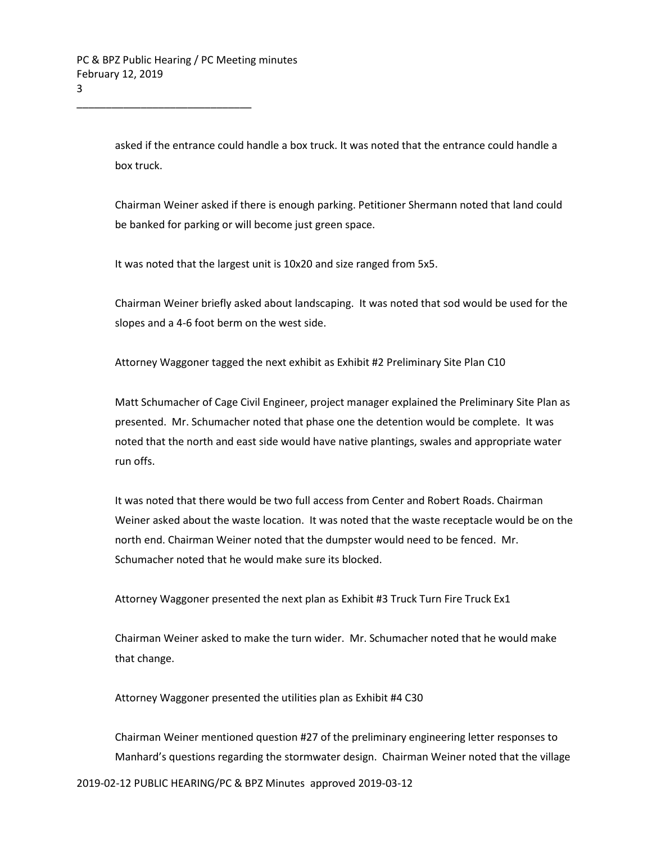asked if the entrance could handle a box truck. It was noted that the entrance could handle a box truck.

Chairman Weiner asked if there is enough parking. Petitioner Shermann noted that land could be banked for parking or will become just green space.

It was noted that the largest unit is 10x20 and size ranged from 5x5.

Chairman Weiner briefly asked about landscaping. It was noted that sod would be used for the slopes and a 4-6 foot berm on the west side.

Attorney Waggoner tagged the next exhibit as Exhibit #2 Preliminary Site Plan C10

Matt Schumacher of Cage Civil Engineer, project manager explained the Preliminary Site Plan as presented. Mr. Schumacher noted that phase one the detention would be complete. It was noted that the north and east side would have native plantings, swales and appropriate water run offs.

It was noted that there would be two full access from Center and Robert Roads. Chairman Weiner asked about the waste location. It was noted that the waste receptacle would be on the north end. Chairman Weiner noted that the dumpster would need to be fenced. Mr. Schumacher noted that he would make sure its blocked.

Attorney Waggoner presented the next plan as Exhibit #3 Truck Turn Fire Truck Ex1

Chairman Weiner asked to make the turn wider. Mr. Schumacher noted that he would make that change.

Attorney Waggoner presented the utilities plan as Exhibit #4 C30

Chairman Weiner mentioned question #27 of the preliminary engineering letter responses to Manhard's questions regarding the stormwater design. Chairman Weiner noted that the village

2019-02-12 PUBLIC HEARING/PC & BPZ Minutes approved 2019-03-12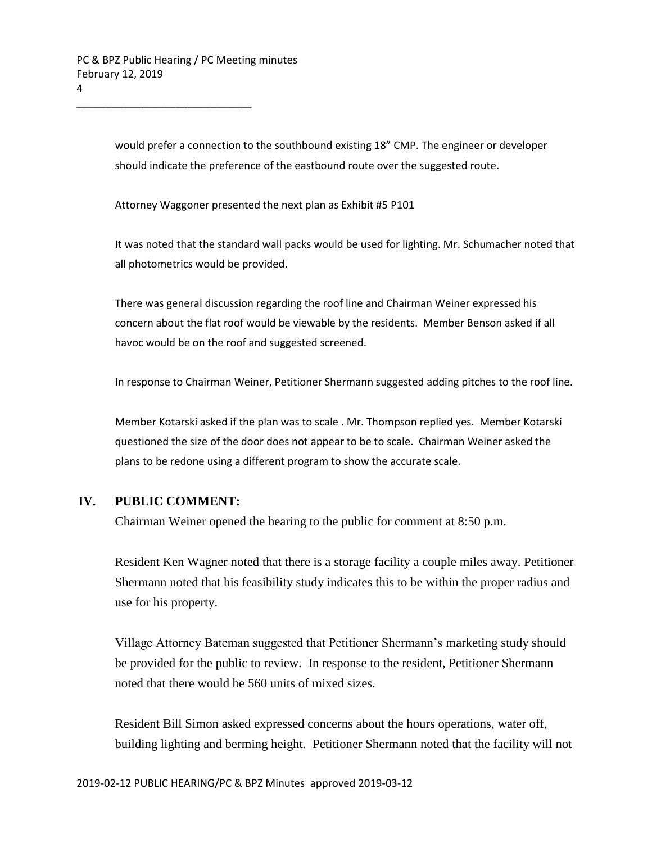would prefer a connection to the southbound existing 18" CMP. The engineer or developer should indicate the preference of the eastbound route over the suggested route.

Attorney Waggoner presented the next plan as Exhibit #5 P101

It was noted that the standard wall packs would be used for lighting. Mr. Schumacher noted that all photometrics would be provided.

There was general discussion regarding the roof line and Chairman Weiner expressed his concern about the flat roof would be viewable by the residents. Member Benson asked if all havoc would be on the roof and suggested screened.

In response to Chairman Weiner, Petitioner Shermann suggested adding pitches to the roof line.

Member Kotarski asked if the plan was to scale . Mr. Thompson replied yes. Member Kotarski questioned the size of the door does not appear to be to scale. Chairman Weiner asked the plans to be redone using a different program to show the accurate scale.

### **IV. PUBLIC COMMENT:**

Chairman Weiner opened the hearing to the public for comment at 8:50 p.m.

Resident Ken Wagner noted that there is a storage facility a couple miles away. Petitioner Shermann noted that his feasibility study indicates this to be within the proper radius and use for his property.

Village Attorney Bateman suggested that Petitioner Shermann's marketing study should be provided for the public to review. In response to the resident, Petitioner Shermann noted that there would be 560 units of mixed sizes.

Resident Bill Simon asked expressed concerns about the hours operations, water off, building lighting and berming height. Petitioner Shermann noted that the facility will not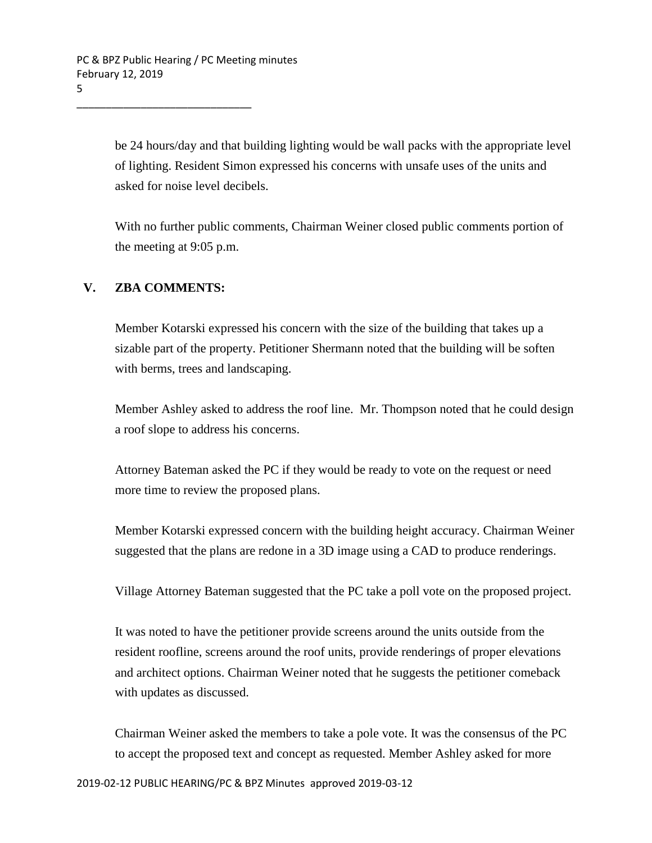be 24 hours/day and that building lighting would be wall packs with the appropriate level of lighting. Resident Simon expressed his concerns with unsafe uses of the units and asked for noise level decibels.

With no further public comments, Chairman Weiner closed public comments portion of the meeting at 9:05 p.m.

## **V. ZBA COMMENTS:**

Member Kotarski expressed his concern with the size of the building that takes up a sizable part of the property. Petitioner Shermann noted that the building will be soften with berms, trees and landscaping.

Member Ashley asked to address the roof line. Mr. Thompson noted that he could design a roof slope to address his concerns.

Attorney Bateman asked the PC if they would be ready to vote on the request or need more time to review the proposed plans.

Member Kotarski expressed concern with the building height accuracy. Chairman Weiner suggested that the plans are redone in a 3D image using a CAD to produce renderings.

Village Attorney Bateman suggested that the PC take a poll vote on the proposed project.

It was noted to have the petitioner provide screens around the units outside from the resident roofline, screens around the roof units, provide renderings of proper elevations and architect options. Chairman Weiner noted that he suggests the petitioner comeback with updates as discussed.

Chairman Weiner asked the members to take a pole vote. It was the consensus of the PC to accept the proposed text and concept as requested. Member Ashley asked for more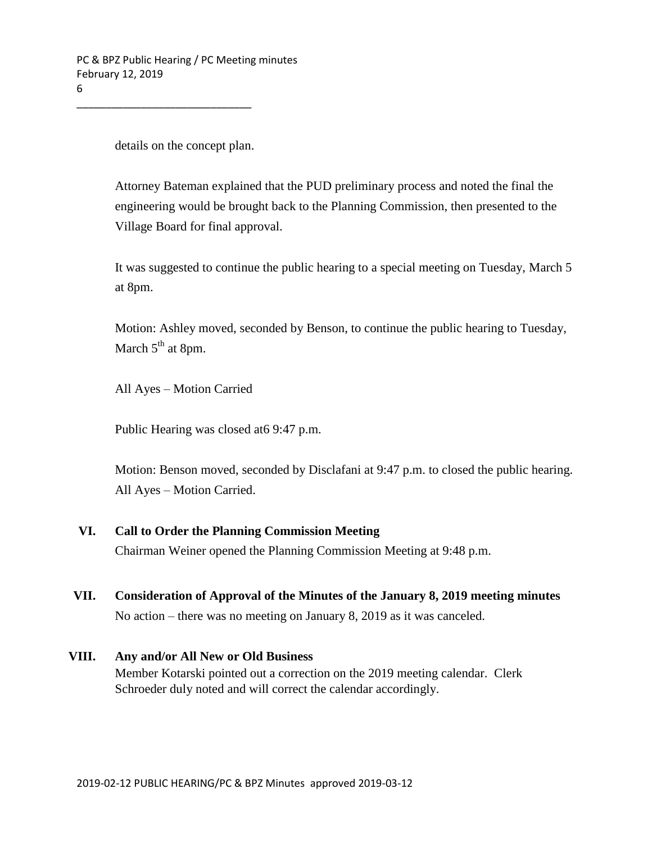details on the concept plan.

Attorney Bateman explained that the PUD preliminary process and noted the final the engineering would be brought back to the Planning Commission, then presented to the Village Board for final approval.

It was suggested to continue the public hearing to a special meeting on Tuesday, March 5 at 8pm.

Motion: Ashley moved, seconded by Benson, to continue the public hearing to Tuesday, March  $5<sup>th</sup>$  at 8pm.

All Ayes – Motion Carried

Public Hearing was closed at6 9:47 p.m.

Motion: Benson moved, seconded by Disclafani at 9:47 p.m. to closed the public hearing. All Ayes – Motion Carried.

### **VI. Call to Order the Planning Commission Meeting**

Chairman Weiner opened the Planning Commission Meeting at 9:48 p.m.

**VII. Consideration of Approval of the Minutes of the January 8, 2019 meeting minutes**

No action – there was no meeting on January 8, 2019 as it was canceled.

#### **VIII. Any and/or All New or Old Business**

Member Kotarski pointed out a correction on the 2019 meeting calendar. Clerk Schroeder duly noted and will correct the calendar accordingly.